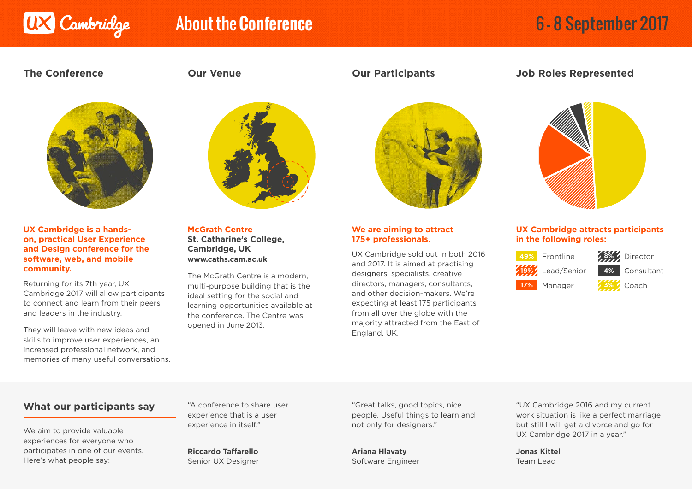

# About the **Conference** 6 - 8 September 2017

**The Conference Our Venue Our Participants Job Roles Represented**



**UX Cambridge is a handson, practical User Experience and Design conference for the software, web, and mobile community.**

Returning for its 7th year, UX Cambridge 2017 will allow participants to connect and learn from their peers and leaders in the industry.

They will leave with new ideas and skills to improve user experiences, an increased professional network, and memories of many useful conversations.



**McGrath Centre St. Catharine's College, Cambridge, UK www.caths.cam.ac.uk**

The McGrath Centre is a modern, multi-purpose building that is the ideal setting for the social and learning opportunities available at the conference. The Centre was opened in June 2013.



### **We are aiming to attract 175+ professionals.**

UX Cambridge sold out in both 2016 and 2017. It is aimed at practising designers, specialists, creative directors, managers, consultants, and other decision-makers. We're expecting at least 175 participants from all over the globe with the majority attracted from the East of England, UK.



## **UX Cambridge attracts participants in the following roles:**



**8%** Director **4%** Consultant

**3%** Coach

## **What our participants say**

We aim to provide valuable experiences for everyone who participates in one of our events. Here's what people say:

"A conference to share user experience that is a user experience in itself."

**Riccardo Taffarello** Senior UX Designer "Great talks, good topics, nice people. Useful things to learn and not only for designers."

**Ariana Hlavaty** Software Engineer "UX Cambridge 2016 and my current work situation is like a perfect marriage but still I will get a divorce and go for UX Cambridge 2017 in a year."

**Jonas Kittel** Team Lead